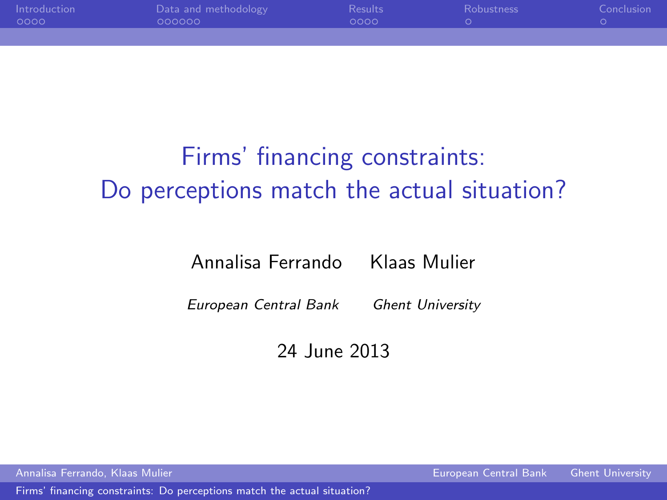| Introduction<br>0000 | Data and methodology<br>000000 | <b>Results</b><br>nono. | <b>Robustness</b> | Conclusion |
|----------------------|--------------------------------|-------------------------|-------------------|------------|
|                      |                                |                         |                   |            |

# Firms' financing constraints: Do perceptions match the actual situation?

Annalisa Ferrando Klaas Mulier

European Central Bank Ghent University

<span id="page-0-0"></span>24 June 2013

Annalisa Ferrando, Klaas Mulier European Central Bank Ghent University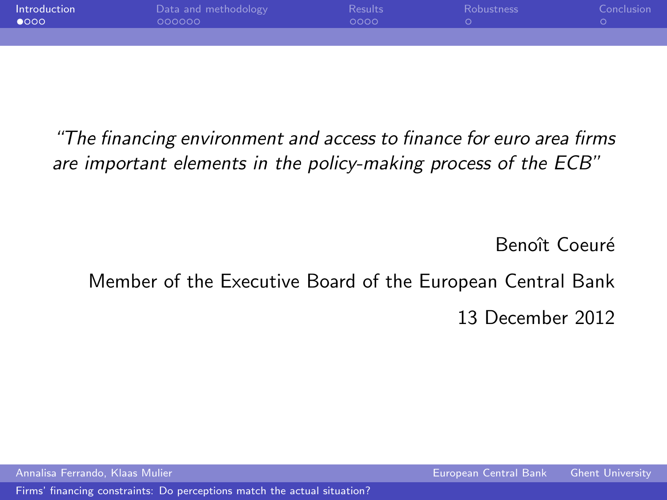| Introduction<br>$\bullet$ 000 | Data and methodology<br>000000 | Results<br>nnnn. | <b>Robustness</b> | Conclusion 4 |
|-------------------------------|--------------------------------|------------------|-------------------|--------------|
|                               |                                |                  |                   |              |

"The financing environment and access to finance for euro area firms are important elements in the policy-making process of the ECB"

<span id="page-1-0"></span>Benoît Coeuré

## Member of the Executive Board of the European Central Bank 13 December 2012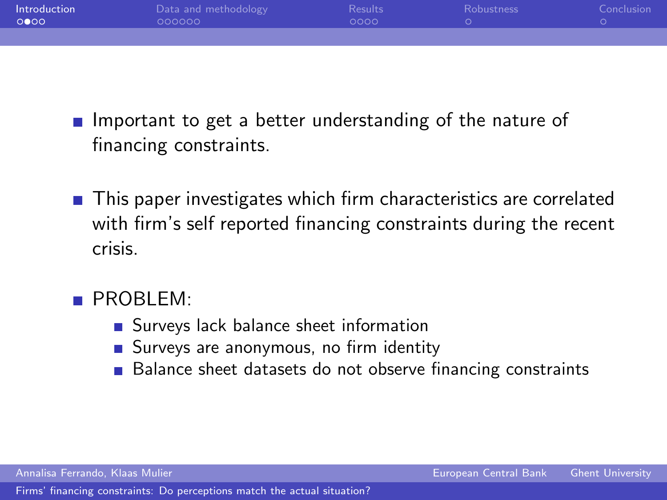| Introduction<br>0000 | Data and methodology<br>000000 | Results<br>nono. | <b>Robustness</b> | Conclusion |
|----------------------|--------------------------------|------------------|-------------------|------------|
|                      |                                |                  |                   |            |

- **Important to get a better understanding of the nature of** financing constraints.
- This paper investigates which firm characteristics are correlated with firm's self reported financing constraints during the recent crisis.
- **PROBLEM:** 
	- Surveys lack balance sheet information
	- Surveys are anonymous, no firm identity
	- Balance sheet datasets do not observe financing constraints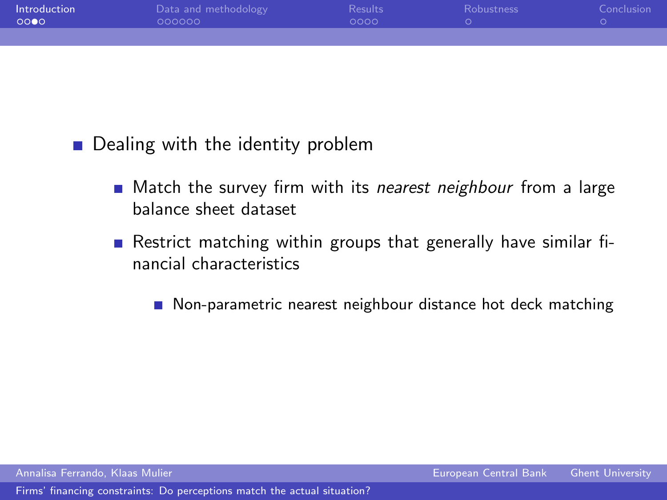| Introduction<br>- 00●0 | Data and methodology<br>000000 | <b>Results</b><br>റററെ | <b>Robustness</b> | Conclusion |
|------------------------|--------------------------------|------------------------|-------------------|------------|
|                        |                                |                        |                   |            |

**Dealing with the identity problem** 

- Match the survey firm with its nearest neighbour from a large balance sheet dataset
- Restrict matching within groups that generally have similar financial characteristics

■ Non-parametric nearest neighbour distance hot deck matching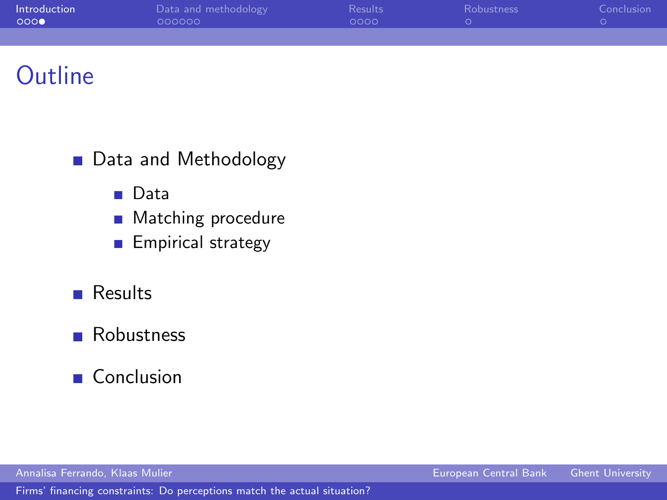| Introduction<br>0000 | Data and methodology<br>000000 | Results <sup>1</sup><br>ററററ | <b>Robustness</b> | Conclusion |
|----------------------|--------------------------------|------------------------------|-------------------|------------|
|                      |                                |                              |                   |            |

## **Outline**

- Data and Methodology
	- **Data**
	- Matching procedure  $\overline{\phantom{a}}$
	- **Empirical strategy**
- **Results**
- **Robustness**
- Conclusion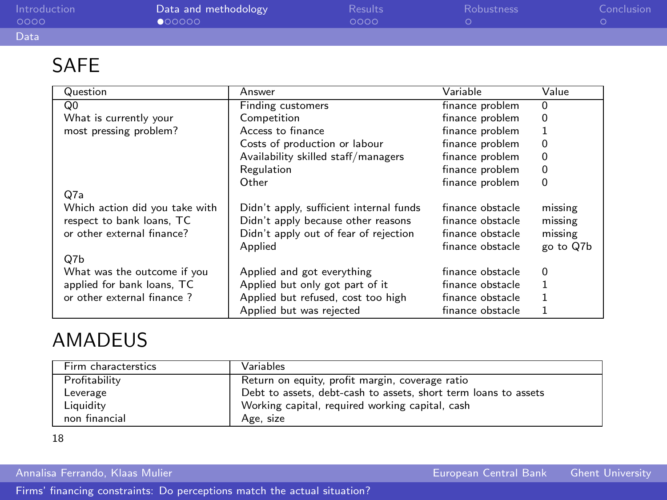| Introduction<br>0000 | Data and methodology<br>000000 | <b>Results</b><br>0000 | <b>Robustness</b> | Conclusion |
|----------------------|--------------------------------|------------------------|-------------------|------------|
| Data                 |                                |                        |                   |            |
|                      |                                |                        |                   |            |

#### <span id="page-5-1"></span>SAFE

| Question                       | Answer                                  | Variable         | Value     |
|--------------------------------|-----------------------------------------|------------------|-----------|
| Q0                             | Finding customers                       | finance problem  | $\Omega$  |
| What is currently your         | Competition                             | finance problem  | $\Omega$  |
| most pressing problem?         | Access to finance                       | finance problem  | 1         |
|                                | Costs of production or labour           | finance problem  | 0         |
|                                | Availability skilled staff/managers     | finance problem  | 0         |
|                                | Regulation                              | finance problem  | 0         |
|                                | Other                                   | finance problem  | $\Omega$  |
| Q7a                            |                                         |                  |           |
| Which action did you take with | Didn't apply, sufficient internal funds | finance obstacle | missing   |
| respect to bank loans, TC      | Didn't apply because other reasons      | finance obstacle | missing   |
| or other external finance?     | Didn't apply out of fear of rejection   | finance obstacle | missing   |
|                                | Applied                                 | finance obstacle | go to Q7b |
| Q7b                            |                                         |                  |           |
| What was the outcome if you    | Applied and got everything              | finance obstacle | $\Omega$  |
| applied for bank loans, TC     | Applied but only got part of it         | finance obstacle | 1         |
| or other external finance?     | Applied but refused, cost too high      | finance obstacle | 1         |
|                                | Applied but was rejected                | finance obstacle |           |

#### AMADEUS

| Firm characterstics | <b>Variables</b>                                                |
|---------------------|-----------------------------------------------------------------|
| Profitability       | Return on equity, profit margin, coverage ratio                 |
| Leverage            | Debt to assets, debt-cash to assets, short term loans to assets |
| Liquidity           | Working capital, required working capital, cash                 |
| non financial       | Age, size                                                       |

<span id="page-5-0"></span>[18](#page-16-1)

Annalisa Ferrando, Klaas Mulier European Central Bank Ghent University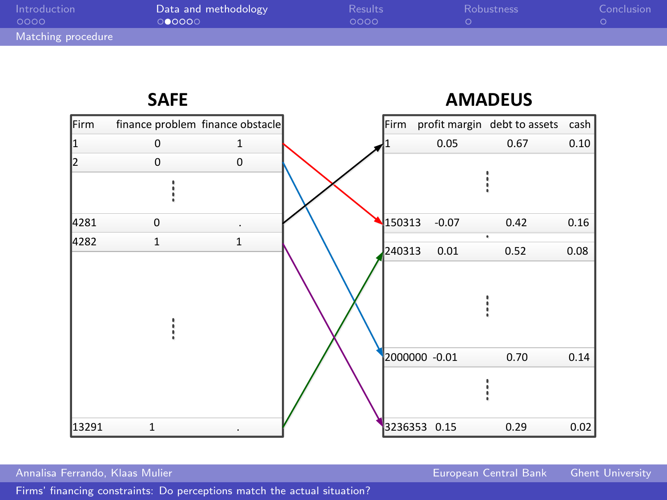| Introduction<br>0000 | Data and methodology<br>00000 | <b>Results</b><br>looon. | <b>Robustness</b> | Conclusion |
|----------------------|-------------------------------|--------------------------|-------------------|------------|
| Matching procedure   |                               |                          |                   |            |



<span id="page-6-0"></span>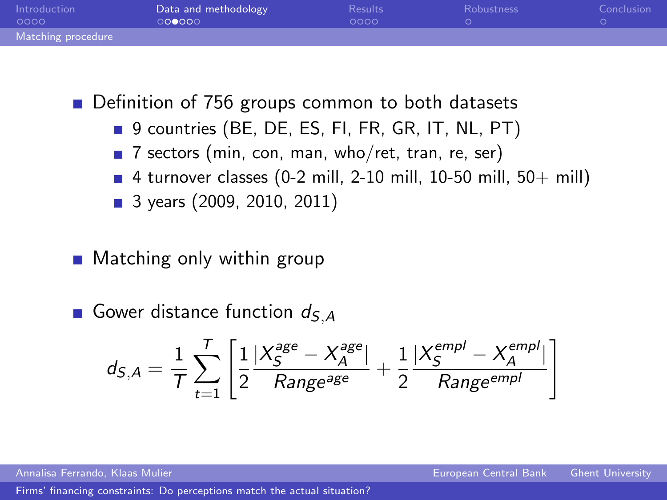| Introduction<br>0000 | Data and methodology<br>000000 | <b>Results</b><br>0000 | <b>Robustness</b> | Conclusion |
|----------------------|--------------------------------|------------------------|-------------------|------------|
| Matching procedure   |                                |                        |                   |            |

■ Definition of 756 groups common to both datasets

- 9 countries (BE, DE, ES, FI, FR, GR, IT, NL, PT)
- 7 sectors (min, con, man, who/ret, tran, re, ser)
- $\blacksquare$  4 turnover classes (0-2 mill, 2-10 mill, 10-50 mill, 50+ mill)
- 3 years (2009, 2010, 2011)
- Matching only within group
- Gower distance function  $d_{S,A}$

<span id="page-7-0"></span>
$$
d_{S,A} = \frac{1}{T} \sum_{t=1}^{T} \left[ \frac{1}{2} \frac{|X_S^{age} - X_A^{age}|}{Range^{age}} + \frac{1}{2} \frac{|X_S^{empl} - X_A^{empl}|}{Range^{empl}} \right]
$$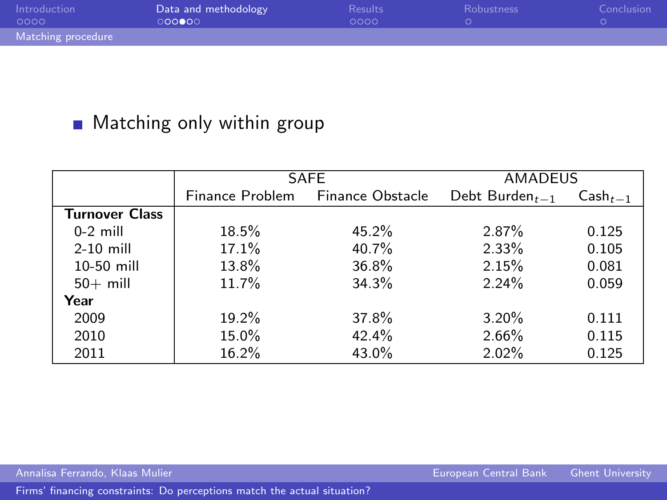| Introduction<br>0000 | Data and methodology<br>000000 | <b>Results</b><br>0000 | <b>Robustness</b> | Conclusion |
|----------------------|--------------------------------|------------------------|-------------------|------------|
| Matching procedure   |                                |                        |                   |            |

### **Matching only within group**

|                       |                 | <b>SAFE</b>             | <b>AMADEUS</b>    |              |
|-----------------------|-----------------|-------------------------|-------------------|--------------|
|                       | Finance Problem | <b>Finance Obstacle</b> | Debt Burden $t-1$ | $Cash_{t-1}$ |
| <b>Turnover Class</b> |                 |                         |                   |              |
| $0-2$ mill            | 18.5%           | 45.2%                   | 2.87%             | 0.125        |
| $2-10$ mill           | 17.1%           | 40.7%                   | 2.33%             | 0.105        |
| 10-50 mill            | 13.8%           | 36.8%                   | 2.15%             | 0.081        |
| $50+$ mill            | 11.7%           | 34.3%                   | $2.24\%$          | 0.059        |
| Year                  |                 |                         |                   |              |
| 2009                  | 19.2%           | 37.8%                   | 3.20%             | 0.111        |
| 2010                  | 15.0%           | 42.4%                   | 2.66%             | 0.115        |
| 2011                  | 16.2%           | 43.0%                   | $2.02\%$          | 0.125        |

<span id="page-8-0"></span>

Annalisa Ferrando, Klaas Mulier European Central Bank Ghent University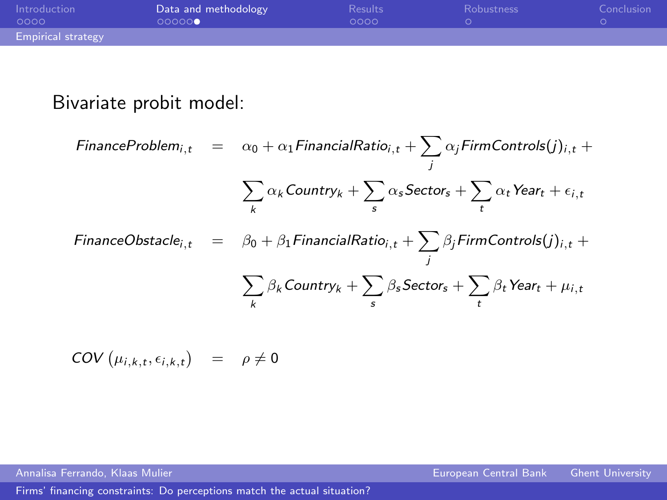| Introduction<br>0000      | Data and methodology<br>000000 | Results<br>0000 | <b>Robustness</b> | Conclusion |
|---------------------------|--------------------------------|-----------------|-------------------|------------|
| <b>Empirical strategy</b> |                                |                 |                   |            |

### Bivariate probit model:

$$
\begin{array}{rcl}\n\textit{FinanceProblem}_{i,t} & = & \alpha_0 + \alpha_1 \textit{FinancialRatio}_{i,t} + \sum_j \alpha_j \textit{FirmContents}(j)_{i,t} + \\
& & \sum_k \alpha_k \textit{Country}_k + \sum_s \alpha_s \textit{Sector}_s + \sum_t \alpha_t \textit{Year}_t + \epsilon_{i,t} \\
\textit{FinanceObstack}_{i,t} & = & \beta_0 + \beta_1 \textit{FinancialRatio}_{i,t} + \sum_j \beta_j \textit{FirmContents}(j)_{i,t} + \\
& & \sum_k \beta_k \textit{Country}_k + \sum_s \beta_s \textit{Sectors}_s + \sum_t \beta_t \textit{Year}_t + \mu_{i,t}\n\end{array}
$$

<span id="page-9-0"></span>
$$
COV\left(\mu_{i,k,t}, \epsilon_{i,k,t}\right) = \rho \neq 0
$$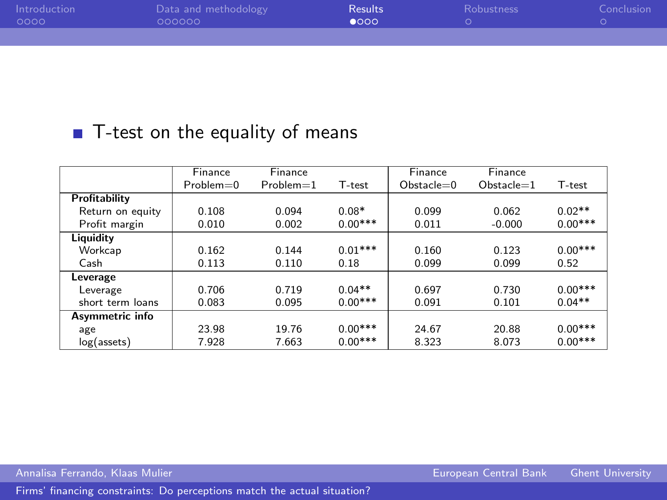| Introduction<br>- 0000 | Data and methodology<br>000000 | <b>Results</b><br>$\bullet$ 000 | <b>Robustness</b> | Conclusion |
|------------------------|--------------------------------|---------------------------------|-------------------|------------|
|                        |                                |                                 |                   |            |

#### ■ T-test on the equality of means

|                        | Finance     | Finance     |           | Finance     | <b>Finance</b> |           |
|------------------------|-------------|-------------|-----------|-------------|----------------|-----------|
|                        | $Problem=0$ | $Problem=1$ | T-test    | $Obstack=0$ | $Obstate=1$    | T-test    |
| Profitability          |             |             |           |             |                |           |
| Return on equity       | 0.108       | 0.094       | $0.08*$   | 0.099       | 0.062          | $0.02**$  |
| Profit margin          | 0.010       | 0.002       | $0.00***$ | 0.011       | $-0.000$       | $0.00***$ |
| Liquidity              |             |             |           |             |                |           |
| Workcap                | 0.162       | 0.144       | $0.01***$ | 0.160       | 0.123          | $0.00***$ |
| Cash                   | 0.113       | 0.110       | 0.18      | 0.099       | 0.099          | 0.52      |
| Leverage               |             |             |           |             |                |           |
| Leverage               | 0.706       | 0.719       | $0.04**$  | 0.697       | 0.730          | $0.00***$ |
| short term loans       | 0.083       | 0.095       | $0.00***$ | 0.091       | 0.101          | $0.04**$  |
| <b>Asymmetric info</b> |             |             |           |             |                |           |
| age                    | 23.98       | 19.76       | $0.00***$ | 24.67       | 20.88          | $0.00***$ |
| $log($ assets $)$      | 7.928       | 7.663       | $0.00***$ | 8.323       | 8.073          | $0.00***$ |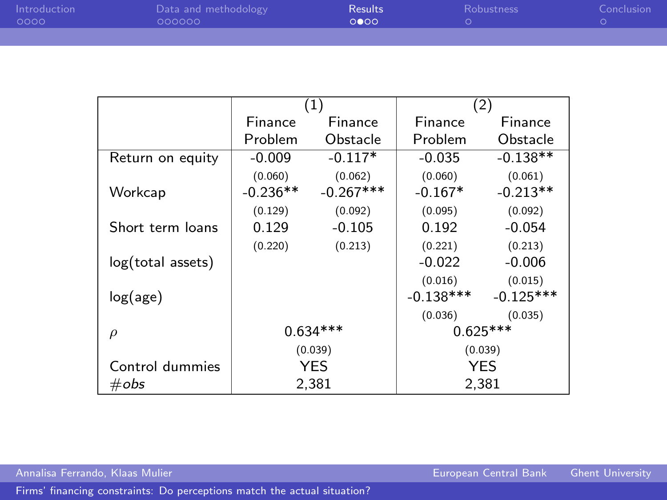| Introduction<br>- 0000 | Data and methodology<br>000000 | <b>Results</b><br>റൈറ | Robustness | Conclusion |
|------------------------|--------------------------------|-----------------------|------------|------------|
|                        |                                |                       |            |            |

|                   |            | (1)         | (2)         |             |
|-------------------|------------|-------------|-------------|-------------|
|                   | Finance    | Finance     | Finance     | Finance     |
|                   | Problem    | Obstacle    | Problem     | Obstacle    |
| Return on equity  | $-0.009$   | $-0.117*$   | $-0.035$    | $-0.138**$  |
|                   | (0.060)    | (0.062)     | (0.060)     | (0.061)     |
| Workcap           | $-0.236**$ | $-0.267***$ | $-0.167*$   | $-0.213**$  |
|                   | (0.129)    | (0.092)     | (0.095)     | (0.092)     |
| Short term loans  | 0.129      | $-0.105$    | 0.192       | $-0.054$    |
|                   | (0.220)    | (0.213)     | (0.221)     | (0.213)     |
| log(total assets) |            |             | $-0.022$    | $-0.006$    |
|                   |            |             | (0.016)     | (0.015)     |
| log(age)          |            |             | $-0.138***$ | $-0.125***$ |
|                   |            |             | (0.036)     | (0.035)     |
| $\mathcal{D}$     | $0.634***$ |             |             | $0.625***$  |
|                   | (0.039)    |             | (0.039)     |             |
| Control dummies   | <b>YES</b> |             | <b>YES</b>  |             |
| $\#obs$           |            | 2,381       | 2.381       |             |

<span id="page-11-0"></span>

Annalisa Ferrando, Klaas Mulier European Central Bank Ghent University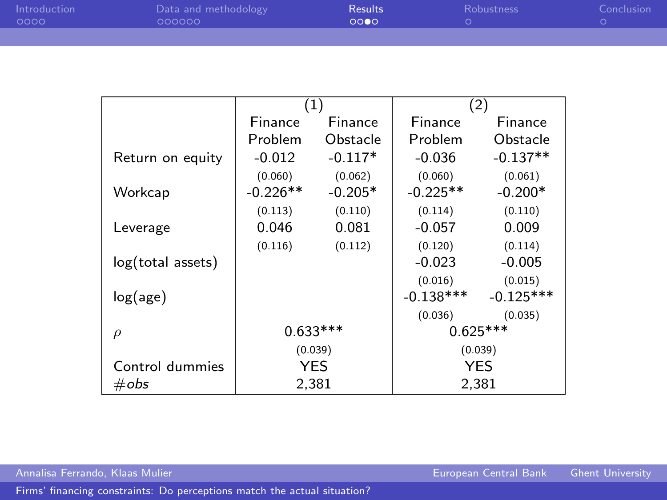| Introduction<br>- 0000 | Data and methodology<br>000000 | <b>Results</b><br>റററെ | <b>Robustness</b> | Conclusion |
|------------------------|--------------------------------|------------------------|-------------------|------------|
|                        |                                |                        |                   |            |

|                   |            | $\left( 1\right)$ | (2)         |             |
|-------------------|------------|-------------------|-------------|-------------|
|                   | Finance    | Finance           | Finance     | Finance     |
|                   | Problem    | Obstacle          | Problem     | Obstacle    |
| Return on equity  | $-0.012$   | $-0.117*$         | $-0.036$    | $-0.137**$  |
|                   | (0.060)    | (0.062)           | (0.060)     | (0.061)     |
| Workcap           | $-0.226**$ | $-0.205*$         | $-0.225**$  | $-0.200*$   |
|                   | (0.113)    | (0.110)           | (0.114)     | (0.110)     |
| Leverage          | 0.046      | 0.081             | $-0.057$    | 0.009       |
|                   | (0.116)    | (0.112)           | (0.120)     | (0.114)     |
| log(total assets) |            |                   | $-0.023$    | $-0.005$    |
|                   |            |                   | (0.016)     | (0.015)     |
| log(age)          |            |                   | $-0.138***$ | $-0.125***$ |
|                   |            |                   | (0.036)     | (0.035)     |
| $\rho$            | $0.633***$ |                   |             | $0.625***$  |
|                   | (0.039)    |                   | (0.039)     |             |
| Control dummies   | <b>YES</b> |                   | <b>YES</b>  |             |
| $\#obs$           | 2,381      |                   | 2,381       |             |

Annalisa Ferrando, Klaas Mulier European Central Bank Ghent University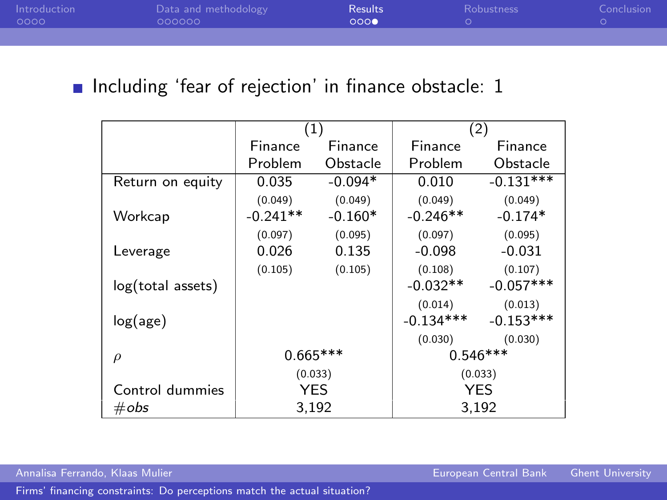| <b>Introduction</b><br>- 0000 | Data and methodology<br>000000 | <b>Results</b><br>റററ | <b>Robustness</b> | Conclusion |
|-------------------------------|--------------------------------|-----------------------|-------------------|------------|
|                               |                                |                       |                   |            |

#### Including 'fear of rejection' in finance obstacle: [1](#page-5-1)

|                   | (1)        |           | (2)         |             |
|-------------------|------------|-----------|-------------|-------------|
|                   | Finance    | Finance   | Finance     | Finance     |
|                   | Problem    | Obstacle  | Problem     | Obstacle    |
| Return on equity  | 0.035      | $-0.094*$ | 0.010       | $-0.131***$ |
|                   | (0.049)    | (0.049)   | (0.049)     | (0.049)     |
| Workcap           | $-0.241**$ | $-0.160*$ | $-0.246**$  | $-0.174*$   |
|                   | (0.097)    | (0.095)   | (0.097)     | (0.095)     |
| Leverage          | 0.026      | 0.135     | $-0.098$    | $-0.031$    |
|                   | (0.105)    | (0.105)   | (0.108)     | (0.107)     |
| log(total assets) |            |           | $-0.032**$  | $-0.057***$ |
|                   |            |           | (0.014)     | (0.013)     |
| log(age)          |            |           | $-0.134***$ | $-0.153***$ |
|                   |            |           | (0.030)     | (0.030)     |
| $\rho$            | $0.665***$ |           | $0.546***$  |             |
|                   | (0.033)    |           | (0.033)     |             |
| Control dummies   | <b>YES</b> |           | <b>YES</b>  |             |
| $\#obs$           | 3,192      |           | 3.192       |             |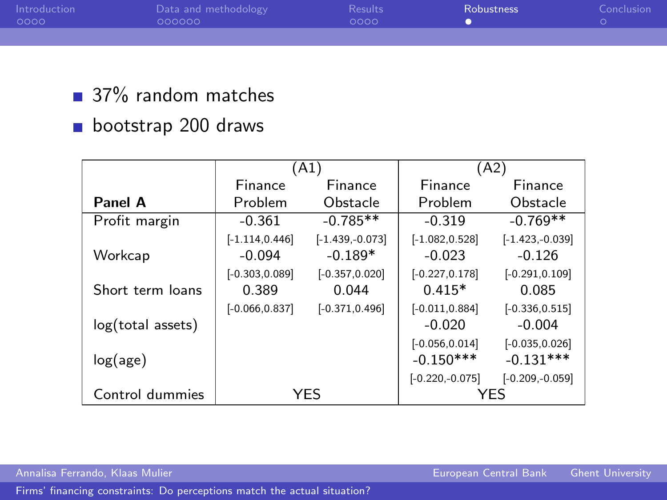| Introduction<br>0000 | Data and methodology<br>000000 | Results<br>looon. | <b>Robustness</b> | Conclusion |
|----------------------|--------------------------------|-------------------|-------------------|------------|
|                      |                                |                   |                   |            |

- 37% random matches
- bootstrap 200 draws

|                   |                               | (A1)                           | (A2)                             |                                  |
|-------------------|-------------------------------|--------------------------------|----------------------------------|----------------------------------|
|                   | Finance                       | Finance                        | Finance                          | Finance                          |
| Panel A           | Problem                       | Obstacle                       | Problem                          | Obstacle                         |
| Profit margin     | $-0.361$                      | $-0.785**$                     | $-0.319$                         | $-0.769**$                       |
| Workcap           | $[-1.114, 0.446]$<br>$-0.094$ | $[-1.439,-0.073]$<br>$-0.189*$ | $[-1.082, 0.528]$<br>$-0.023$    | $[-1.423, -0.039]$<br>$-0.126$   |
| Short term loans  | $[-0.303, 0.089]$<br>0.389    | $[-0.357, 0.020]$<br>0.044     | $[-0.227, 0.178]$<br>$0.415*$    | $[-0.291, 0.109]$<br>0.085       |
| log(total assets) | $[-0.066, 0.837]$             | $[-0.371, 0.496]$              | $[-0.011, 0.884]$<br>$-0.020$    | $[-0.336, 0.515]$<br>$-0.004$    |
| log(age)          |                               |                                | $[-0.056, 0.014]$<br>$-0.150***$ | $[-0.035, 0.026]$<br>$-0.131***$ |
| Control dummies   | YES                           |                                | $[-0.220, -0.075]$<br>YFS        | $[-0.209,-0.059]$                |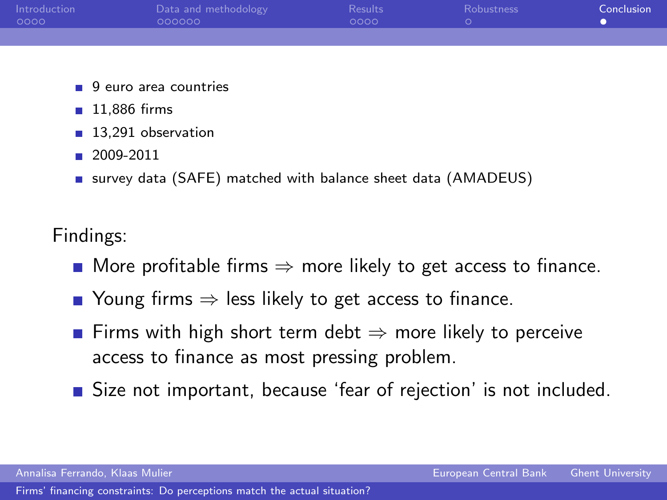| Introduction | Data and methodology | <b>Results</b> | Robustness | Conclusion |
|--------------|----------------------|----------------|------------|------------|
| 0000         | 000000               | nnnn.          |            |            |
|              |                      |                |            |            |
|              |                      |                |            |            |
|              |                      |                |            |            |

- 9 euro area countries
- $11.886$  firms
- 13,291 observation
- $2009-2011$
- survey data (SAFE) matched with balance sheet data (AMADEUS)

Findings:

- More profitable firms  $\Rightarrow$  more likely to get access to finance.
- Young firms  $\Rightarrow$  less likely to get access to finance.
- Firms with high short term debt  $\Rightarrow$  more likely to perceive access to finance as most pressing problem.
- <span id="page-15-0"></span>Size not important, because 'fear of rejection' is not included.